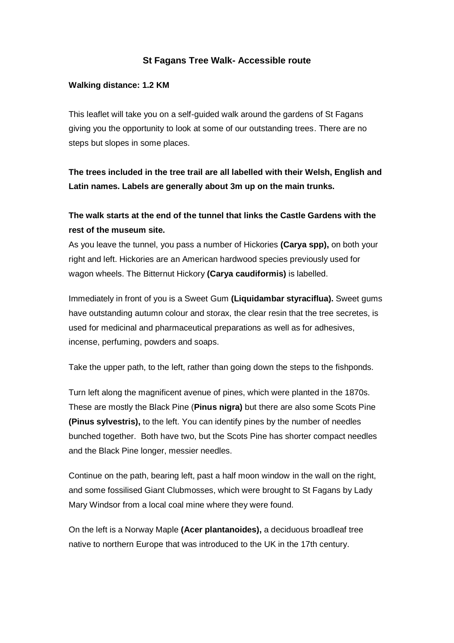## **St Fagans Tree Walk- Accessible route**

## **Walking distance: 1.2 KM**

This leaflet will take you on a self-guided walk around the gardens of St Fagans giving you the opportunity to look at some of our outstanding trees. There are no steps but slopes in some places.

**The trees included in the tree trail are all labelled with their Welsh, English and Latin names. Labels are generally about 3m up on the main trunks.** 

## **The walk starts at the end of the tunnel that links the Castle Gardens with the rest of the museum site.**

As you leave the tunnel, you pass a number of Hickories **(Carya spp),** on both your right and left. Hickories are an American hardwood species previously used for wagon wheels. The Bitternut Hickory **(Carya caudiformis)** is labelled.

Immediately in front of you is a Sweet Gum **(Liquidambar styraciflua).** Sweet gums have outstanding autumn colour and storax, the clear resin that the tree secretes, is used for medicinal and pharmaceutical preparations as well as for adhesives, incense, perfuming, powders and soaps.

Take the upper path, to the left, rather than going down the steps to the fishponds.

Turn left along the magnificent avenue of pines, which were planted in the 1870s. These are mostly the Black Pine (**Pinus nigra)** but there are also some Scots Pine **(Pinus sylvestris),** to the left. You can identify pines by the number of needles bunched together. Both have two, but the Scots Pine has shorter compact needles and the Black Pine longer, messier needles.

Continue on the path, bearing left, past a half moon window in the wall on the right, and some fossilised Giant Clubmosses, which were brought to St Fagans by Lady Mary Windsor from a local coal mine where they were found.

On the left is a Norway Maple **(Acer plantanoides),** a deciduous broadleaf tree native to northern Europe that was introduced to the UK in the 17th century.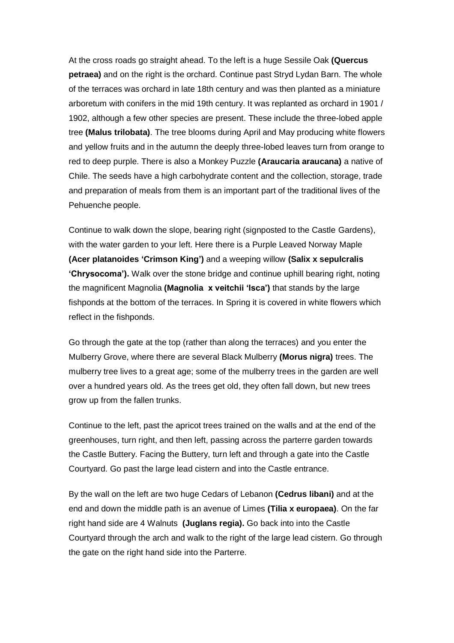At the cross roads go straight ahead. To the left is a huge Sessile Oak **(Quercus petraea)** and on the right is the orchard. Continue past Stryd Lydan Barn. The whole of the terraces was orchard in late 18th century and was then planted as a miniature arboretum with conifers in the mid 19th century. It was replanted as orchard in 1901 / 1902, although a few other species are present. These include the three-lobed apple tree **(Malus trilobata)**. The tree blooms during April and May producing white flowers and yellow fruits and in the autumn the deeply three-lobed leaves turn from orange to red to deep purple. There is also a Monkey Puzzle **(Araucaria araucana)** a native of Chile. The seeds have a high carbohydrate content and the collection, storage, trade and preparation of meals from them is an important part of the traditional lives of the Pehuenche people.

Continue to walk down the slope, bearing right (signposted to the Castle Gardens), with the water garden to your left. Here there is a Purple Leaved Norway Maple **(Acer platanoides 'Crimson King')** and a weeping willow **(Salix x sepulcralis 'Chrysocoma').** Walk over the stone bridge and continue uphill bearing right, noting the magnificent Magnolia **(Magnolia x veitchii 'Isca')** that stands by the large fishponds at the bottom of the terraces. In Spring it is covered in white flowers which reflect in the fishponds.

Go through the gate at the top (rather than along the terraces) and you enter the Mulberry Grove, where there are several Black Mulberry **(Morus nigra)** trees. The mulberry tree lives to a great age; some of the mulberry trees in the garden are well over a hundred years old. As the trees get old, they often fall down, but new trees grow up from the fallen trunks.

Continue to the left, past the apricot trees trained on the walls and at the end of the greenhouses, turn right, and then left, passing across the parterre garden towards the Castle Buttery. Facing the Buttery, turn left and through a gate into the Castle Courtyard. Go past the large lead cistern and into the Castle entrance.

By the wall on the left are two huge Cedars of Lebanon **(Cedrus libani)** and at the end and down the middle path is an avenue of Limes **(Tilia x europaea)**. On the far right hand side are 4 Walnuts **(Juglans regia).** Go back into into the Castle Courtyard through the arch and walk to the right of the large lead cistern. Go through the gate on the right hand side into the Parterre.